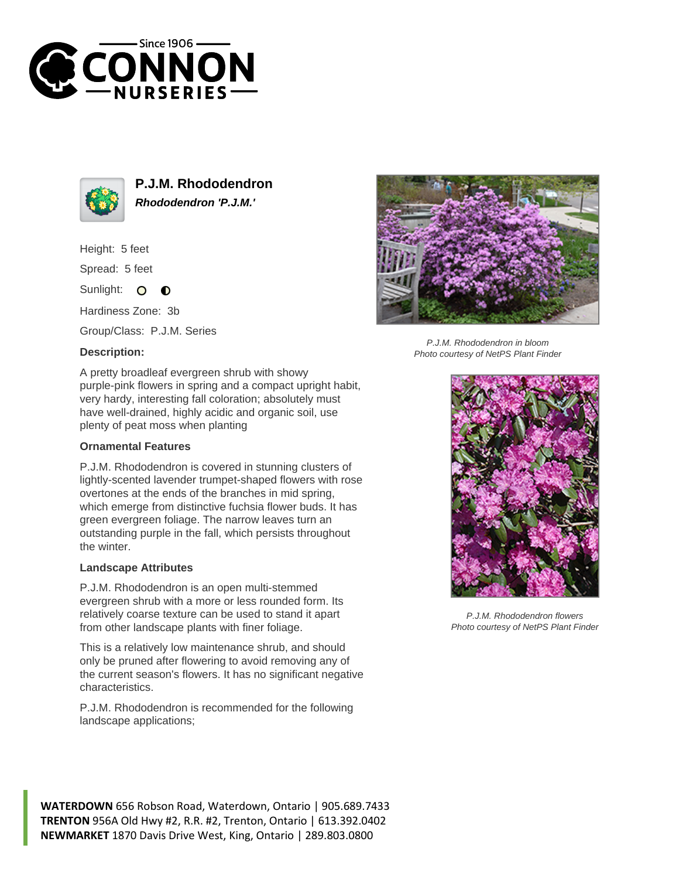



**P.J.M. Rhododendron Rhododendron 'P.J.M.'**

Height: 5 feet

Spread: 5 feet

Sunlight:  $\Omega$  $\bullet$ 

Hardiness Zone: 3b

Group/Class: P.J.M. Series

## **Description:**



P.J.M. Rhododendron in bloom Photo courtesy of NetPS Plant Finder

A pretty broadleaf evergreen shrub with showy purple-pink flowers in spring and a compact upright habit, very hardy, interesting fall coloration; absolutely must have well-drained, highly acidic and organic soil, use plenty of peat moss when planting

## **Ornamental Features**

P.J.M. Rhododendron is covered in stunning clusters of lightly-scented lavender trumpet-shaped flowers with rose overtones at the ends of the branches in mid spring, which emerge from distinctive fuchsia flower buds. It has green evergreen foliage. The narrow leaves turn an outstanding purple in the fall, which persists throughout the winter.

## **Landscape Attributes**

P.J.M. Rhododendron is an open multi-stemmed evergreen shrub with a more or less rounded form. Its relatively coarse texture can be used to stand it apart from other landscape plants with finer foliage.

This is a relatively low maintenance shrub, and should only be pruned after flowering to avoid removing any of the current season's flowers. It has no significant negative characteristics.

P.J.M. Rhododendron is recommended for the following landscape applications;



P.J.M. Rhododendron flowers Photo courtesy of NetPS Plant Finder

**WATERDOWN** 656 Robson Road, Waterdown, Ontario | 905.689.7433 **TRENTON** 956A Old Hwy #2, R.R. #2, Trenton, Ontario | 613.392.0402 **NEWMARKET** 1870 Davis Drive West, King, Ontario | 289.803.0800